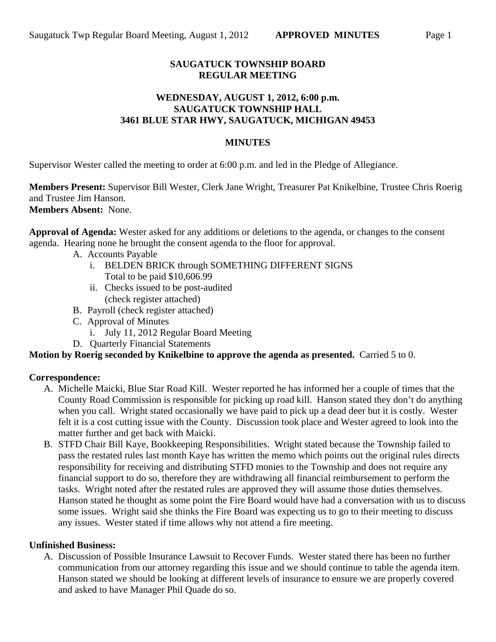# **SAUGATUCK TOWNSHIP BOARD REGULAR MEETING**

## **WEDNESDAY, AUGUST 1, 2012, 6:00 p.m. SAUGATUCK TOWNSHIP HALL 3461 BLUE STAR HWY, SAUGATUCK, MICHIGAN 49453**

#### **MINUTES**

Supervisor Wester called the meeting to order at 6:00 p.m. and led in the Pledge of Allegiance.

**Members Present:** Supervisor Bill Wester, Clerk Jane Wright, Treasurer Pat Knikelbine, Trustee Chris Roerig and Trustee Jim Hanson. **Members Absent:** None.

**Approval of Agenda:** Wester asked for any additions or deletions to the agenda, or changes to the consent agenda. Hearing none he brought the consent agenda to the floor for approval.

- A. Accounts Payable
	- i. BELDEN BRICK through SOMETHING DIFFERENT SIGNS Total to be paid \$10,606.99
	- ii. Checks issued to be post-audited (check register attached)
- B. Payroll (check register attached)
- C. Approval of Minutes
	- i. July 11, 2012 Regular Board Meeting
- D. Quarterly Financial Statements

## **Motion by Roerig seconded by Knikelbine to approve the agenda as presented.** Carried 5 to 0.

## **Correspondence:**

- A. Michelle Maicki, Blue Star Road Kill. Wester reported he has informed her a couple of times that the County Road Commission is responsible for picking up road kill. Hanson stated they don't do anything when you call. Wright stated occasionally we have paid to pick up a dead deer but it is costly. Wester felt it is a cost cutting issue with the County. Discussion took place and Wester agreed to look into the matter further and get back with Maicki.
- B. STFD Chair Bill Kaye, Bookkeeping Responsibilities. Wright stated because the Township failed to pass the restated rules last month Kaye has written the memo which points out the original rules directs responsibility for receiving and distributing STFD monies to the Township and does not require any financial support to do so, therefore they are withdrawing all financial reimbursement to perform the tasks. Wright noted after the restated rules are approved they will assume those duties themselves. Hanson stated he thought as some point the Fire Board would have had a conversation with us to discuss some issues. Wright said she thinks the Fire Board was expecting us to go to their meeting to discuss any issues. Wester stated if time allows why not attend a fire meeting.

#### **Unfinished Business:**

A. Discussion of Possible Insurance Lawsuit to Recover Funds. Wester stated there has been no further communication from our attorney regarding this issue and we should continue to table the agenda item. Hanson stated we should be looking at different levels of insurance to ensure we are properly covered and asked to have Manager Phil Quade do so.